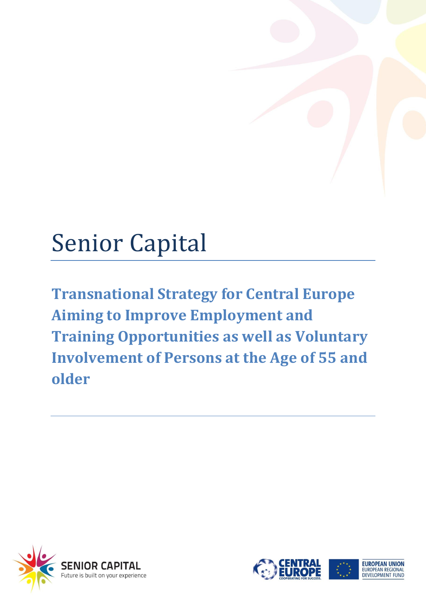# Senior Capital

**Transnational Strategy for Central Europe Aiming to Improve Employment and Training Opportunities as well as Voluntary Involvement of Persons at the Age of 55 and older**





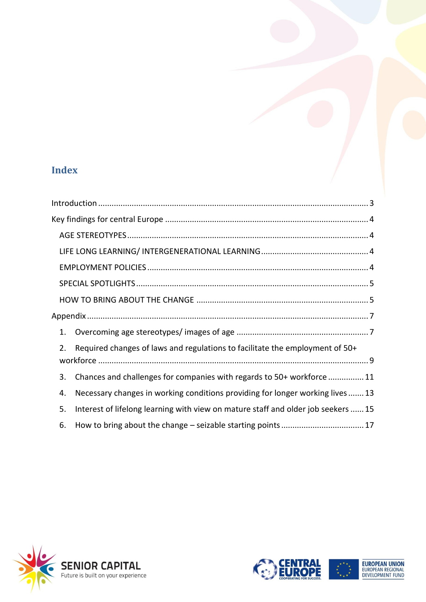# **Index**

| 1. |                                                                                  |
|----|----------------------------------------------------------------------------------|
| 2. | Required changes of laws and regulations to facilitate the employment of 50+     |
|    |                                                                                  |
| 3. | Chances and challenges for companies with regards to 50+ workforce  11           |
| 4. | Necessary changes in working conditions providing for longer working lives 13    |
| 5. | Interest of lifelong learning with view on mature staff and older job seekers 15 |
| 6. |                                                                                  |



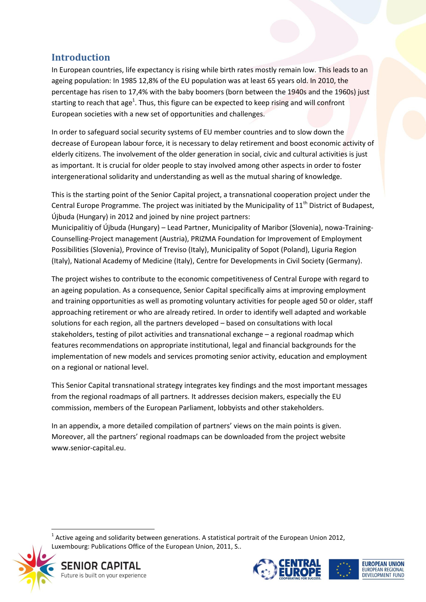## <span id="page-2-0"></span>**Introduction**

In European countries, life expectancy is rising while birth rates mostly remain low. This leads to an ageing population: In 1985 12,8% of the EU population was at least 65 years old. In 2010, the percentage has risen to 17,4% with the baby boomers (born between the 1940s and the 1960s) just starting to reach that age<sup>1</sup>. Thus, this figure can be expected to keep rising and will confront European societies with a new set of opportunities and challenges.

In order to safeguard social security systems of EU member countries and to slow down the decrease of European labour force, it is necessary to delay retirement and boost economic activity of elderly citizens. The involvement of the older generation in social, civic and cultural activities is just as important. It is crucial for older people to stay involved among other aspects in order to foster intergenerational solidarity and understanding as well as the mutual sharing of knowledge.

This is the starting point of the Senior Capital project, a transnational cooperation project under the Central Europe Programme. The project was initiated by the Municipality of  $11<sup>th</sup>$  District of Budapest, Újbuda (Hungary) in 2012 and joined by nine project partners:

Municipalitiy of Újbuda (Hungary) – Lead Partner, Municipality of Maribor (Slovenia), nowa-Training-Counselling-Project management (Austria), PRIZMA Foundation for Improvement of Employment Possibilities (Slovenia), Province of Treviso (Italy), Municipality of Sopot (Poland), Liguria Region (Italy), National Academy of Medicine (Italy), Centre for Developments in Civil Society (Germany).

The project wishes to contribute to the economic competitiveness of Central Europe with regard to an ageing population. As a consequence, Senior Capital specifically aims at improving employment and training opportunities as well as promoting voluntary activities for people aged 50 or older, staff approaching retirement or who are already retired. In order to identify well adapted and workable solutions for each region, all the partners developed – based on consultations with local stakeholders, testing of pilot activities and transnational exchange – a regional roadmap which features recommendations on appropriate institutional, legal and financial backgrounds for the implementation of new models and services promoting senior activity, education and employment on a regional or national level.

This Senior Capital transnational strategy integrates key findings and the most important messages from the regional roadmaps of all partners. It addresses decision makers, especially the EU commission, members of the European Parliament, lobbyists and other stakeholders.

In an appendix, a more detailed compilation of partners' views on the main points is given. Moreover, all the partners' regional roadmaps can be downloaded from the project website www.senior-capital.eu.

 $1$  Active ageing and solidarity between generations. A statistical portrait of the European Union 2012, Luxembourg: Publications Office of the European Union, 2011, S..



1



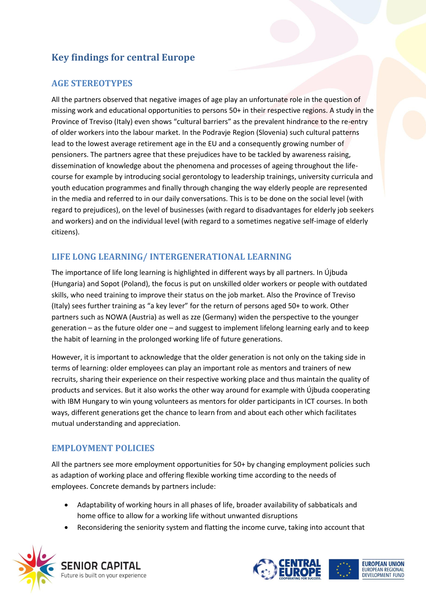## <span id="page-3-0"></span>**Key findings for central Europe**

## <span id="page-3-1"></span>**AGE STEREOTYPES**

All the partners observed that negative images of age play an unfortunate role in the question of missing work and educational opportunities to persons 50+ in their respective regions. A study in the Province of Treviso (Italy) even shows "cultural barriers" as the prevalent hindrance to the re-entry of older workers into the labour market. In the Podravje Region (Slovenia) such cultural patterns lead to the lowest average retirement age in the EU and a consequently growing number of pensioners. The partners agree that these prejudices have to be tackled by awareness raising, dissemination of knowledge about the phenomena and processes of ageing throughout the lifecourse for example by introducing social gerontology to leadership trainings, university curricula and youth education programmes and finally through changing the way elderly people are represented in the media and referred to in our daily conversations. This is to be done on the social level (with regard to prejudices), on the level of businesses (with regard to disadvantages for elderly job seekers and workers) and on the individual level (with regard to a sometimes negative self-image of elderly citizens).

## <span id="page-3-2"></span>**LIFE LONG LEARNING/ INTERGENERATIONAL LEARNING**

The importance of life long learning is highlighted in different ways by all partners. In Újbuda (Hungaria) and Sopot (Poland), the focus is put on unskilled older workers or people with outdated skills, who need training to improve their status on the job market. Also the Province of Treviso (Italy) sees further training as "a key lever" for the return of persons aged 50+ to work. Other partners such as NOWA (Austria) as well as zze (Germany) widen the perspective to the younger generation – as the future older one – and suggest to implement lifelong learning early and to keep the habit of learning in the prolonged working life of future generations.

However, it is important to acknowledge that the older generation is not only on the taking side in terms of learning: older employees can play an important role as mentors and trainers of new recruits, sharing their experience on their respective working place and thus maintain the quality of products and services. But it also works the other way around for example with Újbuda cooperating with IBM Hungary to win young volunteers as mentors for older participants in ICT courses. In both ways, different generations get the chance to learn from and about each other which facilitates mutual understanding and appreciation.

### <span id="page-3-3"></span>**EMPLOYMENT POLICIES**

All the partners see more employment opportunities for 50+ by changing employment policies such as adaption of working place and offering flexible working time according to the needs of employees. Concrete demands by partners include:

- Adaptability of working hours in all phases of life, broader availability of sabbaticals and home office to allow for a working life without unwanted disruptions
- Reconsidering the seniority system and flatting the income curve, taking into account that



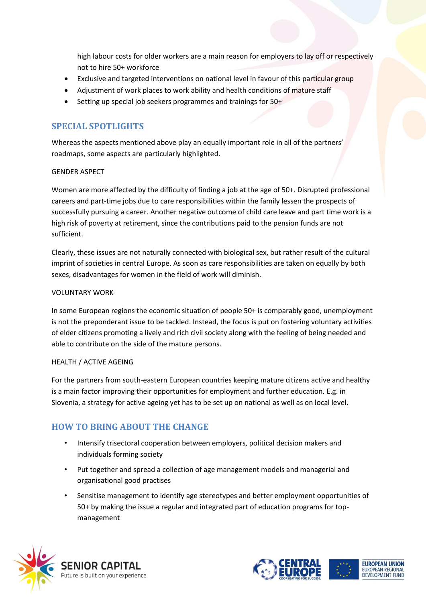high labour costs for older workers are a main reason for employers to lay off or respectively not to hire 50+ workforce

- Exclusive and targeted interventions on national level in favour of this particular group
- Adjustment of work places to work ability and health conditions of mature staff
- Setting up special job seekers programmes and trainings for 50+

## <span id="page-4-0"></span>**SPECIAL SPOTLIGHTS**

Whereas the aspects mentioned above play an equally important role in all of the partners' roadmaps, some aspects are particularly highlighted.

#### GENDER ASPECT

Women are more affected by the difficulty of finding a job at the age of 50+. Disrupted professional careers and part-time jobs due to care responsibilities within the family lessen the prospects of successfully pursuing a career. Another negative outcome of child care leave and part time work is a high risk of poverty at retirement, since the contributions paid to the pension funds are not sufficient.

Clearly, these issues are not naturally connected with biological sex, but rather result of the cultural imprint of societies in central Europe. As soon as care responsibilities are taken on equally by both sexes, disadvantages for women in the field of work will diminish.

#### VOLUNTARY WORK

In some European regions the economic situation of people 50+ is comparably good, unemployment is not the preponderant issue to be tackled. Instead, the focus is put on fostering voluntary activities of elder citizens promoting a lively and rich civil society along with the feeling of being needed and able to contribute on the side of the mature persons.

#### HEALTH / ACTIVE AGEING

For the partners from south-eastern European countries keeping mature citizens active and healthy is a main factor improving their opportunities for employment and further education. E.g. in Slovenia, a strategy for active ageing yet has to be set up on national as well as on local level.

## <span id="page-4-1"></span>**HOW TO BRING ABOUT THE CHANGE**

- Intensify trisectoral cooperation between employers, political decision makers and individuals forming society
- Put together and spread a collection of age management models and managerial and organisational good practises
- Sensitise management to identify age stereotypes and better employment opportunities of 50+ by making the issue a regular and integrated part of education programs for topmanagement



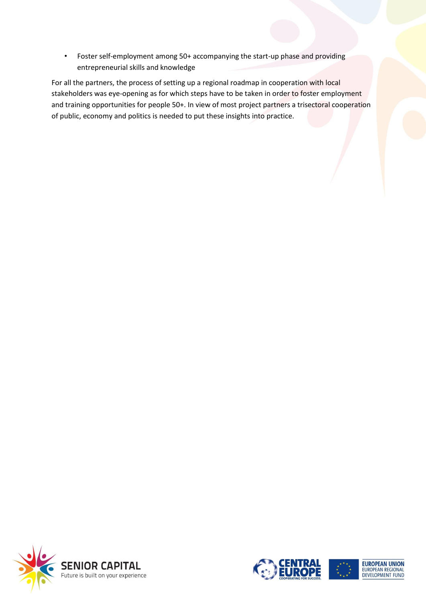• Foster self-employment among 50+ accompanying the start-up phase and providing entrepreneurial skills and knowledge

For all the partners, the process of setting up a regional roadmap in cooperation with local stakeholders was eye-opening as for which steps have to be taken in order to foster employment and training opportunities for people 50+. In view of most project partners a trisectoral cooperation of public, economy and politics is needed to put these insights into practice.







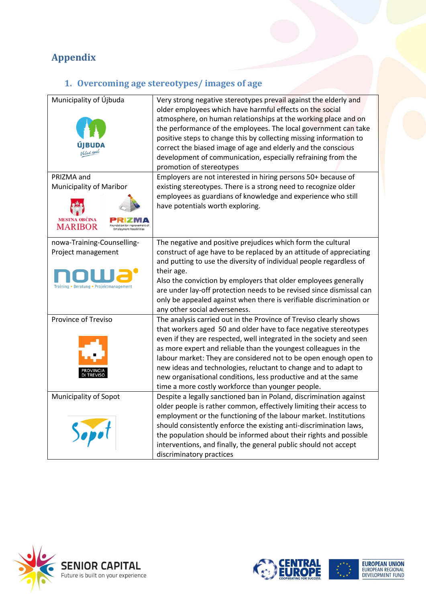# <span id="page-6-1"></span><span id="page-6-0"></span>**Appendix**

# **1. Overcoming age stereotypes/ images of age**

| Municipality of Újbuda                                                                      | Very strong negative stereotypes prevail against the elderly and<br>older employees which have harmful effects on the social<br>atmosphere, on human relationships at the working place and on<br>the performance of the employees. The local government can take<br>positive steps to change this by collecting missing information to<br>correct the biased image of age and elderly and the conscious<br>development of communication, especially refraining from the<br>promotion of stereotypes                                          |
|---------------------------------------------------------------------------------------------|-----------------------------------------------------------------------------------------------------------------------------------------------------------------------------------------------------------------------------------------------------------------------------------------------------------------------------------------------------------------------------------------------------------------------------------------------------------------------------------------------------------------------------------------------|
| PRIZMA and<br>Municipality of Maribor<br><b>MESTNA OBCINA</b><br><b>MARIBOR</b>             | Employers are not interested in hiring persons 50+ because of<br>existing stereotypes. There is a strong need to recognize older<br>employees as guardians of knowledge and experience who still<br>have potentials worth exploring.                                                                                                                                                                                                                                                                                                          |
| nowa-Training-Counselling-<br>Project management<br>Training . Beratung . Projektmanagement | The negative and positive prejudices which form the cultural<br>construct of age have to be replaced by an attitude of appreciating<br>and putting to use the diversity of individual people regardless of<br>their age.<br>Also the conviction by employers that older employees generally<br>are under lay-off protection needs to be revised since dismissal can<br>only be appealed against when there is verifiable discrimination or<br>any other social adverseness.                                                                   |
| Province of Treviso                                                                         | The analysis carried out in the Province of Treviso clearly shows<br>that workers aged 50 and older have to face negative stereotypes<br>even if they are respected, well integrated in the society and seen<br>as more expert and reliable than the youngest colleagues in the<br>labour market: They are considered not to be open enough open to<br>new ideas and technologies, reluctant to change and to adapt to<br>new organisational conditions, less productive and at the same<br>time a more costly workforce than younger people. |
| Municipality of Sopot                                                                       | Despite a legally sanctioned ban in Poland, discrimination against<br>older people is rather common, effectively limiting their access to<br>employment or the functioning of the labour market. Institutions<br>should consistently enforce the existing anti-discrimination laws,<br>the population should be informed about their rights and possible<br>interventions, and finally, the general public should not accept<br>discriminatory practices                                                                                      |





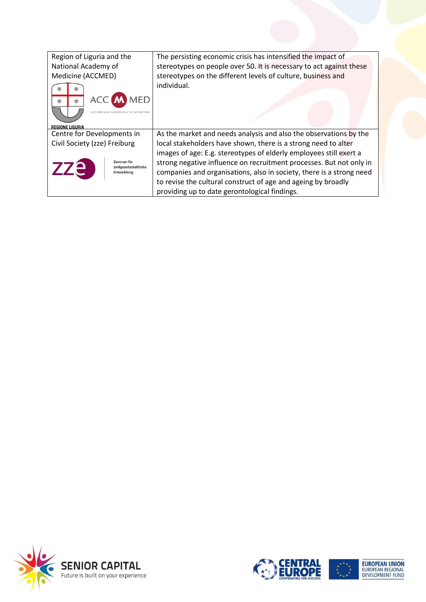| Region of Liguria and the<br>National Academy of            | The persisting economic crisis has intensified the impact of<br>stereotypes on people over 50. It is necessary to act against these                                                                                                                                                                                                 |
|-------------------------------------------------------------|-------------------------------------------------------------------------------------------------------------------------------------------------------------------------------------------------------------------------------------------------------------------------------------------------------------------------------------|
| Medicine (ACCMED)                                           | stereotypes on the different levels of culture, business and                                                                                                                                                                                                                                                                        |
| <b>ACC M MED</b><br><b>REGIONE LIGURIA</b>                  | individual.                                                                                                                                                                                                                                                                                                                         |
| Centre for Developments in                                  | As the market and needs analysis and also the observations by the                                                                                                                                                                                                                                                                   |
| Civil Society (zze) Freiburg                                | local stakeholders have shown, there is a strong need to alter                                                                                                                                                                                                                                                                      |
| Zentrum für<br>zze<br>zivilgesellschaftliche<br>Entwicklung | images of age: E.g. stereotypes of elderly employees still exert a<br>strong negative influence on recruitment processes. But not only in<br>companies and organisations, also in society, there is a strong need<br>to revise the cultural construct of age and ageing by broadly<br>providing up to date gerontological findings. |





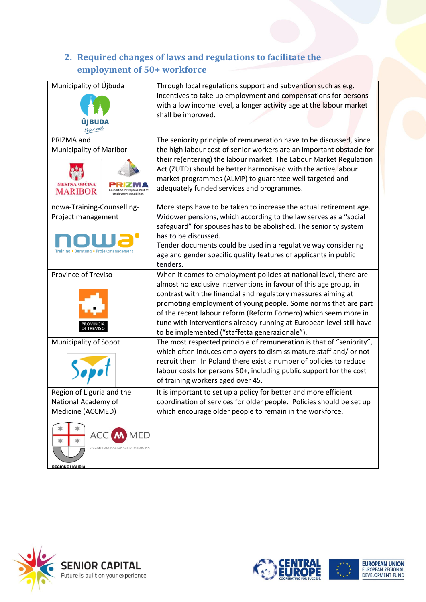## <span id="page-8-0"></span>**2. Required changes of laws and regulations to facilitate the employment of 50+ workforce**

| Municipality of Újbuda<br>UDA                                                                                                                               | Through local regulations support and subvention such as e.g.<br>incentives to take up employment and compensations for persons<br>with a low income level, a longer activity age at the labour market<br>shall be improved.                                                                                                                                                                                                                                           |
|-------------------------------------------------------------------------------------------------------------------------------------------------------------|------------------------------------------------------------------------------------------------------------------------------------------------------------------------------------------------------------------------------------------------------------------------------------------------------------------------------------------------------------------------------------------------------------------------------------------------------------------------|
| PRIZMA and<br><b>Municipality of Maribor</b><br><b>MESTNA OBCINA</b><br><b>MARIBOR</b>                                                                      | The seniority principle of remuneration have to be discussed, since<br>the high labour cost of senior workers are an important obstacle for<br>their re(entering) the labour market. The Labour Market Regulation<br>Act (ZUTD) should be better harmonised with the active labour<br>market programmes (ALMP) to guarantee well targeted and<br>adequately funded services and programmes.                                                                            |
| nowa-Training-Counselling-<br>Project management<br>Training • Beratung • Projektmanagement                                                                 | More steps have to be taken to increase the actual retirement age.<br>Widower pensions, which according to the law serves as a "social<br>safeguard" for spouses has to be abolished. The seniority system<br>has to be discussed.<br>Tender documents could be used in a regulative way considering<br>age and gender specific quality features of applicants in public<br>tenders.                                                                                   |
| Province of Treviso                                                                                                                                         | When it comes to employment policies at national level, there are<br>almost no exclusive interventions in favour of this age group, in<br>contrast with the financial and regulatory measures aiming at<br>promoting employment of young people. Some norms that are part<br>of the recent labour reform (Reform Fornero) which seem more in<br>tune with interventions already running at European level still have<br>to be implemented ("staffetta generazionale"). |
| Municipality of Sopot                                                                                                                                       | The most respected principle of remuneration is that of "seniority",<br>which often induces employers to dismiss mature staff and/ or not<br>recruit them. In Poland there exist a number of policies to reduce<br>labour costs for persons 50+, including public support for the cost<br>of training workers aged over 45.                                                                                                                                            |
| Region of Liguria and the<br>National Academy of<br>Medicine (ACCMED)<br><b>ACC M MED</b><br>水<br>ACCADEMIA NAZIONALE DI MEDICINA<br><b>REGIONE LIGURIA</b> | It is important to set up a policy for better and more efficient<br>coordination of services for older people. Policies should be set up<br>which encourage older people to remain in the workforce.                                                                                                                                                                                                                                                                   |





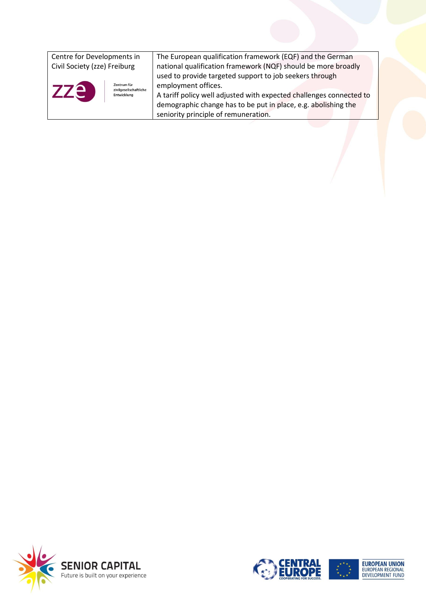<span id="page-9-0"></span>

| Centre for Developments in            | The European qualification framework (EQF) and the German           |
|---------------------------------------|---------------------------------------------------------------------|
| Civil Society (zze) Freiburg          | national qualification framework (NQF) should be more broadly       |
|                                       | used to provide targeted support to job seekers through             |
| Zentrum für<br>zivilgesellschaftliche | employment offices.                                                 |
| <b>zze</b><br>Entwicklung             | A tariff policy well adjusted with expected challenges connected to |
|                                       | demographic change has to be put in place, e.g. abolishing the      |
|                                       | seniority principle of remuneration.                                |
|                                       |                                                                     |







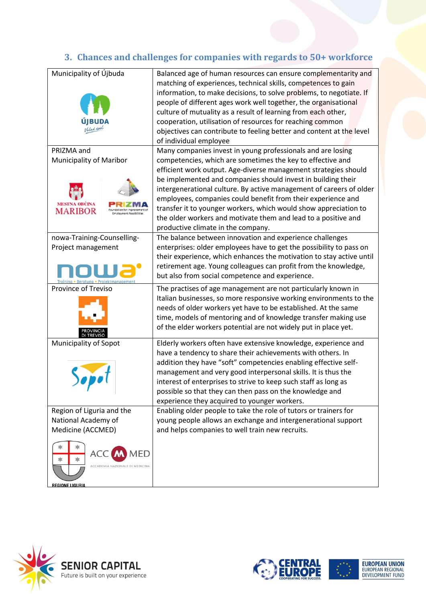# **3. Chances and challenges for companies with regards to 50+ workforce**

| Municipality of Újbuda                 | Balanced age of human resources can ensure complementarity and       |
|----------------------------------------|----------------------------------------------------------------------|
|                                        | matching of experiences, technical skills, competences to gain       |
|                                        | information, to make decisions, to solve problems, to negotiate. If  |
|                                        | people of different ages work well together, the organisational      |
|                                        | culture of mutuality as a result of learning from each other,        |
|                                        | cooperation, utilisation of resources for reaching common            |
|                                        | objectives can contribute to feeling better and content at the level |
|                                        | of individual employee                                               |
| PRIZMA and                             | Many companies invest in young professionals and are losing          |
| <b>Municipality of Maribor</b>         | competencies, which are sometimes the key to effective and           |
|                                        | efficient work output. Age-diverse management strategies should      |
|                                        | be implemented and companies should invest in building their         |
|                                        | intergenerational culture. By active management of careers of older  |
|                                        | employees, companies could benefit from their experience and         |
| <b>MESTNA OBCINA</b><br><b>MARIBOR</b> | transfer it to younger workers, which would show appreciation to     |
|                                        | the older workers and motivate them and lead to a positive and       |
|                                        | productive climate in the company.                                   |
| nowa-Training-Counselling-             | The balance between innovation and experience challenges             |
| Project management                     | enterprises: older employees have to get the possibility to pass on  |
|                                        | their experience, which enhances the motivation to stay active until |
|                                        | retirement age. Young colleagues can profit from the knowledge,      |
|                                        | but also from social competence and experience.                      |
| Province of Treviso                    | The practises of age management are not particularly known in        |
|                                        | Italian businesses, so more responsive working environments to the   |
|                                        | needs of older workers yet have to be established. At the same       |
|                                        | time, models of mentoring and of knowledge transfer making use       |
|                                        | of the elder workers potential are not widely put in place yet.      |
|                                        |                                                                      |
| <b>Municipality of Sopot</b>           | Elderly workers often have extensive knowledge, experience and       |
|                                        | have a tendency to share their achievements with others. In          |
|                                        | addition they have "soft" competencies enabling effective self-      |
|                                        | management and very good interpersonal skills. It is thus the        |
|                                        | interest of enterprises to strive to keep such staff as long as      |
|                                        | possible so that they can then pass on the knowledge and             |
|                                        | experience they acquired to younger workers.                         |
| Region of Liguria and the              | Enabling older people to take the role of tutors or trainers for     |
| National Academy of                    | young people allows an exchange and intergenerational support        |
| Medicine (ACCMED)                      | and helps companies to well train new recruits.                      |
|                                        |                                                                      |
| ACC<br><b>MED</b>                      |                                                                      |
|                                        |                                                                      |
| ACCADEMIA NAZIONALE DI MEDICINA        |                                                                      |
|                                        |                                                                      |
| <b>REGIONE LIGURIA</b>                 |                                                                      |





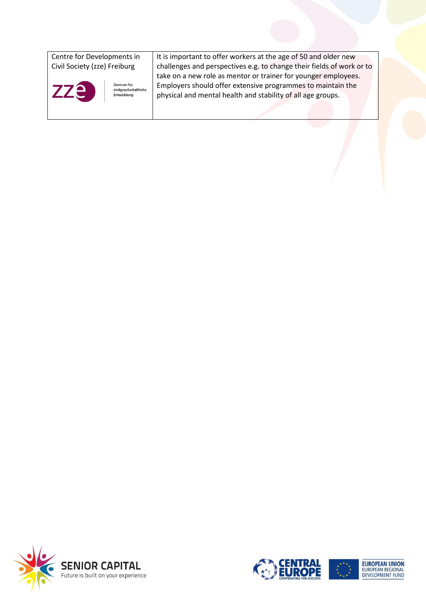| Centre for Developments in                                         | It is important to offer workers at the age of 50 and older new                                                                                                                              |
|--------------------------------------------------------------------|----------------------------------------------------------------------------------------------------------------------------------------------------------------------------------------------|
| Civil Society (zze) Freiburg                                       | challenges and perspectives e.g. to change their fields of work or to                                                                                                                        |
| <b>ZZE</b><br>Zentrum für<br>zivilgesellschaftliche<br>Entwicklung | take on a new role as mentor or trainer for younger employees.<br>Employers should offer extensive programmes to maintain the<br>physical and mental health and stability of all age groups. |
|                                                                    |                                                                                                                                                                                              |







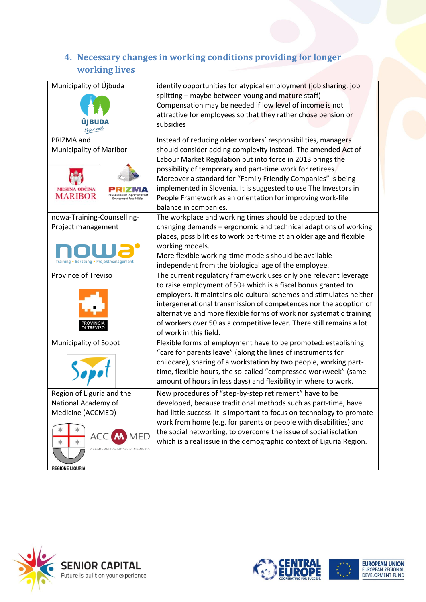## <span id="page-12-0"></span>**4. Necessary changes in working conditions providing for longer working lives**

| Municipality of Újbuda                                                                                                                                 | identify opportunities for atypical employment (job sharing, job<br>splitting – maybe between young and mature staff)<br>Compensation may be needed if low level of income is not<br>attractive for employees so that they rather chose pension or<br>subsidies                                                                                                                                                                                                                      |
|--------------------------------------------------------------------------------------------------------------------------------------------------------|--------------------------------------------------------------------------------------------------------------------------------------------------------------------------------------------------------------------------------------------------------------------------------------------------------------------------------------------------------------------------------------------------------------------------------------------------------------------------------------|
| PRIZMA and<br><b>Municipality of Maribor</b><br><b>MESTNA OBCINA</b><br><b>MARIBOR</b>                                                                 | Instead of reducing older workers' responsibilities, managers<br>should consider adding complexity instead. The amended Act of<br>Labour Market Regulation put into force in 2013 brings the<br>possibility of temporary and part-time work for retirees.<br>Moreover a standard for "Family Friendly Companies" is being<br>implemented in Slovenia. It is suggested to use The Investors in<br>People Framework as an orientation for improving work-life<br>balance in companies. |
| nowa-Training-Counselling-<br>Project management<br>Training • Beratung • Projektmanagement                                                            | The workplace and working times should be adapted to the<br>changing demands - ergonomic and technical adaptions of working<br>places, possibilities to work part-time at an older age and flexible<br>working models.<br>More flexible working-time models should be available<br>independent from the biological age of the employee.                                                                                                                                              |
| <b>Province of Treviso</b>                                                                                                                             | The current regulatory framework uses only one relevant leverage<br>to raise employment of 50+ which is a fiscal bonus granted to<br>employers. It maintains old cultural schemes and stimulates neither<br>intergenerational transmission of competences nor the adoption of<br>alternative and more flexible forms of work nor systematic training<br>of workers over 50 as a competitive lever. There still remains a lot<br>of work in this field.                               |
| <b>Municipality of Sopot</b>                                                                                                                           | Flexible forms of employment have to be promoted: establishing<br>"care for parents leave" (along the lines of instruments for<br>childcare), sharing of a workstation by two people, working part-<br>time, flexible hours, the so-called "compressed workweek" (same<br>amount of hours in less days) and flexibility in where to work.                                                                                                                                            |
| Region of Liguria and the<br>National Academy of<br>Medicine (ACCMED)<br><b>ACC M MED</b><br>ACCADEMIA NAZIONALE DI MEDICINA<br><b>REGIONE LIGURIA</b> | New procedures of "step-by-step retirement" have to be<br>developed, because traditional methods such as part-time, have<br>had little success. It is important to focus on technology to promote<br>work from home (e.g. for parents or people with disabilities) and<br>the social networking, to overcome the issue of social isolation<br>which is a real issue in the demographic context of Liguria Region.                                                                    |



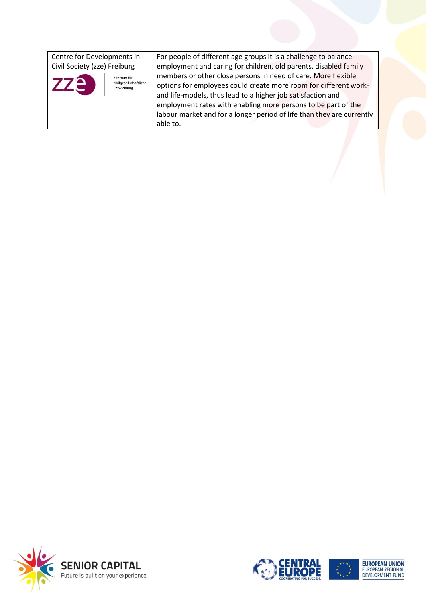| Centre for Developments in                     | For people of different age groups it is a challenge to balance       |
|------------------------------------------------|-----------------------------------------------------------------------|
| Civil Society (zze) Freiburg                   | employment and caring for children, old parents, disabled family      |
| Zentrum für                                    | members or other close persons in need of care. More flexible         |
| zze i<br>zivilgesellschaftliche<br>Entwicklung | options for employees could create more room for different work-      |
|                                                | and life-models, thus lead to a higher job satisfaction and           |
|                                                | employment rates with enabling more persons to be part of the         |
|                                                | labour market and for a longer period of life than they are currently |
|                                                | able to.                                                              |





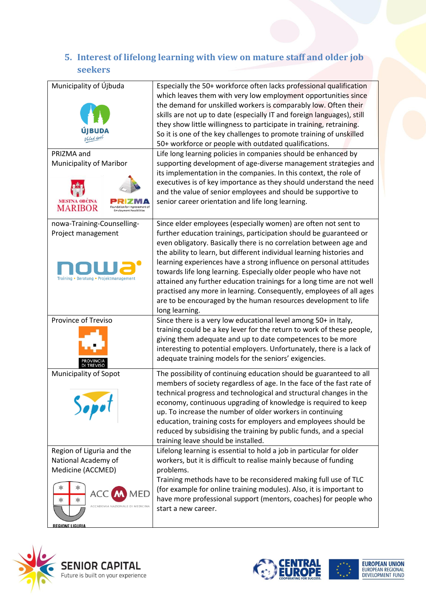## <span id="page-14-0"></span>**5. Interest of lifelong learning with view on mature staff and older job seekers**

| Municipality of Újbuda<br>PRIZMA and<br>Municipality of Maribor<br>MARIBOR                             | Especially the 50+ workforce often lacks professional qualification<br>which leaves them with very low employment opportunities since<br>the demand for unskilled workers is comparably low. Often their<br>skills are not up to date (especially IT and foreign languages), still<br>they show little willingness to participate in training, retraining.<br>So it is one of the key challenges to promote training of unskilled<br>50+ workforce or people with outdated qualifications.<br>Life long learning policies in companies should be enhanced by<br>supporting development of age-diverse management strategies and<br>its implementation in the companies. In this context, the role of<br>executives is of key importance as they should understand the need<br>and the value of senior employees and should be supportive to<br>senior career orientation and life long learning. |
|--------------------------------------------------------------------------------------------------------|--------------------------------------------------------------------------------------------------------------------------------------------------------------------------------------------------------------------------------------------------------------------------------------------------------------------------------------------------------------------------------------------------------------------------------------------------------------------------------------------------------------------------------------------------------------------------------------------------------------------------------------------------------------------------------------------------------------------------------------------------------------------------------------------------------------------------------------------------------------------------------------------------|
| nowa-Training-Counselling-<br>Project management<br>Training • Beratung • Projektmanagement            | Since elder employees (especially women) are often not sent to<br>further education trainings, participation should be guaranteed or<br>even obligatory. Basically there is no correlation between age and<br>the ability to learn, but different individual learning histories and<br>learning experiences have a strong influence on personal attitudes<br>towards life long learning. Especially older people who have not<br>attained any further education trainings for a long time are not well<br>practised any more in learning. Consequently, employees of all ages<br>are to be encouraged by the human resources development to life<br>long learning.                                                                                                                                                                                                                               |
| Province of Treviso                                                                                    | Since there is a very low educational level among 50+ in Italy,<br>training could be a key lever for the return to work of these people,<br>giving them adequate and up to date competences to be more<br>interesting to potential employers. Unfortunately, there is a lack of<br>adequate training models for the seniors' exigencies.                                                                                                                                                                                                                                                                                                                                                                                                                                                                                                                                                         |
| <b>Municipality of Sopot</b>                                                                           | The possibility of continuing education should be guaranteed to all<br>members of society regardless of age. In the face of the fast rate of<br>technical progress and technological and structural changes in the<br>economy, continuous upgrading of knowledge is required to keep<br>up. To increase the number of older workers in continuing<br>education, training costs for employers and employees should be<br>reduced by subsidising the training by public funds, and a special<br>training leave should be installed.                                                                                                                                                                                                                                                                                                                                                                |
| Region of Liguria and the<br>National Academy of<br>Medicine (ACCMED)<br>ACC<br><b>REGIONE LIGURIA</b> | Lifelong learning is essential to hold a job in particular for older<br>workers, but it is difficult to realise mainly because of funding<br>problems.<br>Training methods have to be reconsidered making full use of TLC<br>(for example for online training modules). Also, it is important to<br>have more professional support (mentors, coaches) for people who<br>start a new career.                                                                                                                                                                                                                                                                                                                                                                                                                                                                                                      |







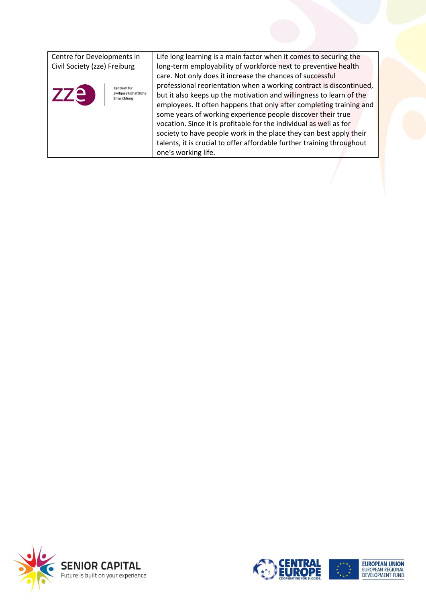| Centre for Developments in                          | Life long learning is a main factor when it comes to securing the      |
|-----------------------------------------------------|------------------------------------------------------------------------|
| Civil Society (zze) Freiburg                        | long-term employability of workforce next to preventive health         |
|                                                     | care. Not only does it increase the chances of successful              |
| Zentrum für                                         | professional reorientation when a working contract is discontinued,    |
| <b>zze</b><br>zivilgesellschaftliche<br>Entwicklung | but it also keeps up the motivation and willingness to learn of the    |
|                                                     | employees. It often happens that only after completing training and    |
|                                                     | some years of working experience people discover their true            |
|                                                     | vocation. Since it is profitable for the individual as well as for     |
|                                                     | society to have people work in the place they can best apply their     |
|                                                     | talents, it is crucial to offer affordable further training throughout |
|                                                     | one's working life.                                                    |